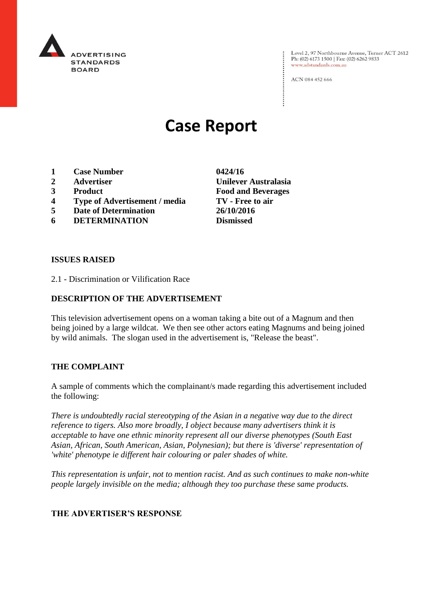

Level 2, 97 Northbourne Avenue, Turner ACT 2612 Ph: (02) 6173 1500 | Fax: (02) 6262 9833 www.adstandards.com.au

ACN 084 452 666

# **Case Report**

- **1 Case Number 0424/16**
- 
- 
- **4 Type of Advertisement / media TV - Free to air**
- **5 Date of Determination 26/10/2016**
- **6 DETERMINATION Dismissed**

**2 Advertiser Unilever Australasia 3 Product Food and Beverages**

### **ISSUES RAISED**

2.1 - Discrimination or Vilification Race

## **DESCRIPTION OF THE ADVERTISEMENT**

This television advertisement opens on a woman taking a bite out of a Magnum and then being joined by a large wildcat. We then see other actors eating Magnums and being joined by wild animals. The slogan used in the advertisement is, "Release the beast".

#### **THE COMPLAINT**

A sample of comments which the complainant/s made regarding this advertisement included the following:

*There is undoubtedly racial stereotyping of the Asian in a negative way due to the direct reference to tigers. Also more broadly, I object because many advertisers think it is acceptable to have one ethnic minority represent all our diverse phenotypes (South East Asian, African, South American, Asian, Polynesian); but there is 'diverse' representation of 'white' phenotype ie different hair colouring or paler shades of white.*

*This representation is unfair, not to mention racist. And as such continues to make non-white people largely invisible on the media; although they too purchase these same products.*

## **THE ADVERTISER'S RESPONSE**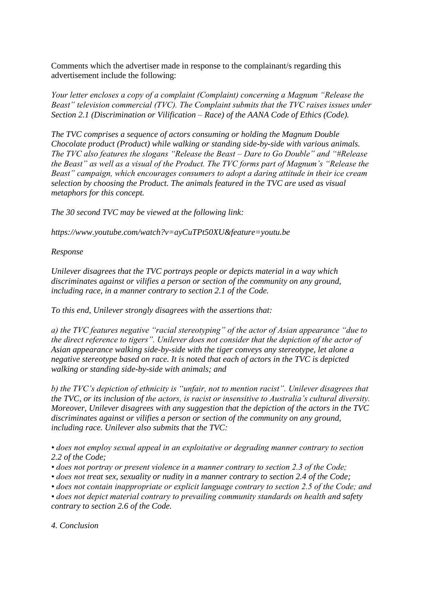Comments which the advertiser made in response to the complainant/s regarding this advertisement include the following:

*Your letter encloses a copy of a complaint (Complaint) concerning a Magnum "Release the Beast" television commercial (TVC). The Complaint submits that the TVC raises issues under Section 2.1 (Discrimination or Vilification – Race) of the AANA Code of Ethics (Code).*

*The TVC comprises a sequence of actors consuming or holding the Magnum Double Chocolate product (Product) while walking or standing side-by-side with various animals. The TVC also features the slogans "Release the Beast – Dare to Go Double" and "#Release the Beast" as well as a visual of the Product. The TVC forms part of Magnum's "Release the Beast" campaign, which encourages consumers to adopt a daring attitude in their ice cream selection by choosing the Product. The animals featured in the TVC are used as visual metaphors for this concept.*

*The 30 second TVC may be viewed at the following link:*

*https://www.youtube.com/watch?v=ayCuTPt50XU&feature=youtu.be*

*Response*

*Unilever disagrees that the TVC portrays people or depicts material in a way which discriminates against or vilifies a person or section of the community on any ground, including race, in a manner contrary to section 2.1 of the Code.*

*To this end, Unilever strongly disagrees with the assertions that:*

*a) the TVC features negative "racial stereotyping" of the actor of Asian appearance "due to the direct reference to tigers". Unilever does not consider that the depiction of the actor of Asian appearance walking side-by-side with the tiger conveys any stereotype, let alone a negative stereotype based on race. It is noted that each of actors in the TVC is depicted walking or standing side-by-side with animals; and*

*b) the TVC's depiction of ethnicity is "unfair, not to mention racist". Unilever disagrees that the TVC, or its inclusion of the actors, is racist or insensitive to Australia's cultural diversity. Moreover, Unilever disagrees with any suggestion that the depiction of the actors in the TVC discriminates against or vilifies a person or section of the community on any ground, including race. Unilever also submits that the TVC:*

*• does not employ sexual appeal in an exploitative or degrading manner contrary to section 2.2 of the Code;*

- *does not portray or present violence in a manner contrary to section 2.3 of the Code;*
- *does not treat sex, sexuality or nudity in a manner contrary to section 2.4 of the Code;*

*• does not contain inappropriate or explicit language contrary to section 2.5 of the Code; and*

*• does not depict material contrary to prevailing community standards on health and safety contrary to section 2.6 of the Code.*

*4. Conclusion*